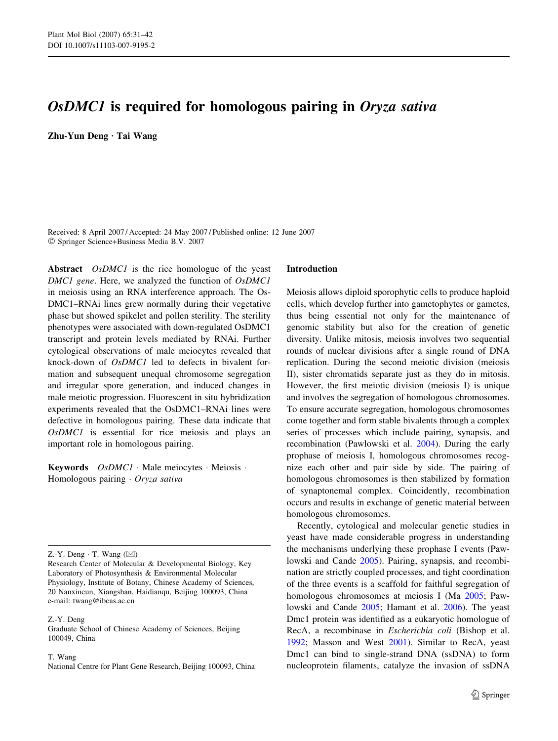# OsDMC1 is required for homologous pairing in Oryza sativa

Zhu-Yun Deng · Tai Wang

Received: 8 April 2007 / Accepted: 24 May 2007 / Published online: 12 June 2007 Springer Science+Business Media B.V. 2007

Abstract *OsDMC1* is the rice homologue of the yeast DMC1 gene. Here, we analyzed the function of OsDMC1 in meiosis using an RNA interference approach. The Os-DMC1–RNAi lines grew normally during their vegetative phase but showed spikelet and pollen sterility. The sterility phenotypes were associated with down-regulated OsDMC1 transcript and protein levels mediated by RNAi. Further cytological observations of male meiocytes revealed that knock-down of OsDMC1 led to defects in bivalent formation and subsequent unequal chromosome segregation and irregular spore generation, and induced changes in male meiotic progression. Fluorescent in situ hybridization experiments revealed that the OsDMC1–RNAi lines were defective in homologous pairing. These data indicate that OsDMC1 is essential for rice meiosis and plays an important role in homologous pairing.

**Keywords**  $OsDMCI \cdot Male$  meiocytes  $\cdot$  Meiosis  $\cdot$ Homologous pairing  $\cdot$  Oryza sativa

Z.-Y. Deng  $\cdot$  T. Wang  $(\boxtimes)$ 

Z.-Y. Deng

Graduate School of Chinese Academy of Sciences, Beijing 100049, China

T. Wang

National Centre for Plant Gene Research, Beijing 100093, China

### Introduction

Meiosis allows diploid sporophytic cells to produce haploid cells, which develop further into gametophytes or gametes, thus being essential not only for the maintenance of genomic stability but also for the creation of genetic diversity. Unlike mitosis, meiosis involves two sequential rounds of nuclear divisions after a single round of DNA replication. During the second meiotic division (meiosis II), sister chromatids separate just as they do in mitosis. However, the first meiotic division (meiosis I) is unique and involves the segregation of homologous chromosomes. To ensure accurate segregation, homologous chromosomes come together and form stable bivalents through a complex series of processes which include pairing, synapsis, and recombination (Pawlowski et al. [2004\)](#page-11-0). During the early prophase of meiosis I, homologous chromosomes recognize each other and pair side by side. The pairing of homologous chromosomes is then stabilized by formation of synaptonemal complex. Coincidently, recombination occurs and results in exchange of genetic material between homologous chromosomes.

Recently, cytological and molecular genetic studies in yeast have made considerable progress in understanding the mechanisms underlying these prophase I events (Pawlowski and Cande [2005](#page-11-0)). Pairing, synapsis, and recombination are strictly coupled processes, and tight coordination of the three events is a scaffold for faithful segregation of homologous chromosomes at meiosis I (Ma [2005](#page-10-0); Pawlowski and Cande [2005;](#page-11-0) Hamant et al. [2006\)](#page-10-0). The yeast Dmc1 protein was identified as a eukaryotic homologue of RecA, a recombinase in Escherichia coli (Bishop et al. [1992](#page-10-0); Masson and West [2001](#page-10-0)). Similar to RecA, yeast Dmc1 can bind to single-strand DNA (ssDNA) to form nucleoprotein filaments, catalyze the invasion of ssDNA

Research Center of Molecular & Developmental Biology, Key Laboratory of Photosynthesis & Environmental Molecular Physiology, Institute of Botany, Chinese Academy of Sciences, 20 Nanxincun, Xiangshan, Haidianqu, Beijing 100093, China e-mail: twang@ibcas.ac.cn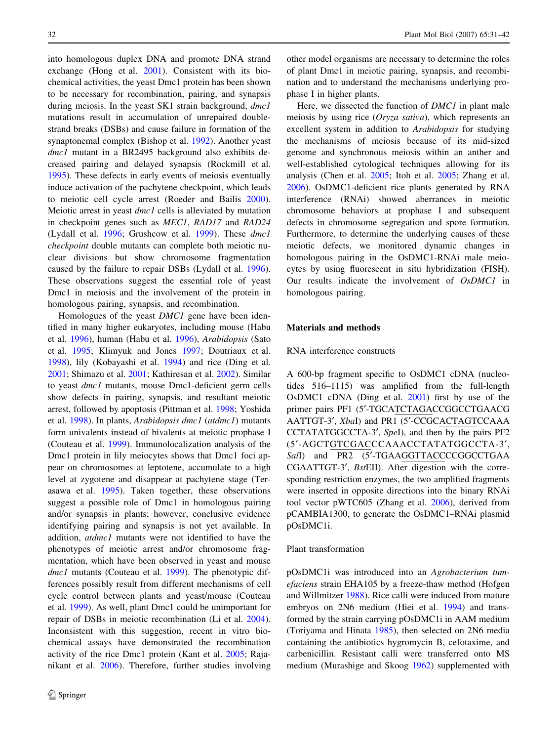into homologous duplex DNA and promote DNA strand exchange (Hong et al. [2001](#page-10-0)). Consistent with its biochemical activities, the yeast Dmc1 protein has been shown to be necessary for recombination, pairing, and synapsis during meiosis. In the yeast SK1 strain background, *dmc1* mutations result in accumulation of unrepaired doublestrand breaks (DSBs) and cause failure in formation of the synaptonemal complex (Bishop et al. [1992](#page-10-0)). Another yeast dmc1 mutant in a BR2495 background also exhibits decreased pairing and delayed synapsis (Rockmill et al. [1995\)](#page-11-0). These defects in early events of meiosis eventually induce activation of the pachytene checkpoint, which leads to meiotic cell cycle arrest (Roeder and Bailis [2000](#page-11-0)). Meiotic arrest in yeast dmc1 cells is alleviated by mutation in checkpoint genes such as MEC1, RAD17 and RAD24 (Lydall et al. [1996](#page-10-0); Grushcow et al. [1999](#page-10-0)). These dmc1 checkpoint double mutants can complete both meiotic nuclear divisions but show chromosome fragmentation caused by the failure to repair DSBs (Lydall et al. [1996](#page-10-0)). These observations suggest the essential role of yeast Dmc1 in meiosis and the involvement of the protein in homologous pairing, synapsis, and recombination.

Homologues of the yeast *DMC1* gene have been identified in many higher eukaryotes, including mouse (Habu et al. [1996\)](#page-10-0), human (Habu et al. [1996](#page-10-0)), Arabidopsis (Sato et al. [1995;](#page-11-0) Klimyuk and Jones [1997](#page-10-0); Doutriaux et al. [1998\)](#page-10-0), lily (Kobayashi et al. [1994\)](#page-10-0) and rice (Ding et al. [2001;](#page-10-0) Shimazu et al. [2001;](#page-11-0) Kathiresan et al. [2002](#page-10-0)). Similar to yeast dmc1 mutants, mouse Dmc1-deficient germ cells show defects in pairing, synapsis, and resultant meiotic arrest, followed by apoptosis (Pittman et al. [1998](#page-11-0); Yoshida et al. [1998](#page-11-0)). In plants, Arabidopsis dmc1 (atdmc1) mutants form univalents instead of bivalents at meiotic prophase I (Couteau et al. [1999](#page-10-0)). Immunolocalization analysis of the Dmc1 protein in lily meiocytes shows that Dmc1 foci appear on chromosomes at leptotene, accumulate to a high level at zygotene and disappear at pachytene stage (Terasawa et al. [1995\)](#page-11-0). Taken together, these observations suggest a possible role of Dmc1 in homologous pairing and/or synapsis in plants; however, conclusive evidence identifying pairing and synapsis is not yet available. In addition, atdmc1 mutants were not identified to have the phenotypes of meiotic arrest and/or chromosome fragmentation, which have been observed in yeast and mouse dmc1 mutants (Couteau et al. [1999](#page-10-0)). The phenotypic differences possibly result from different mechanisms of cell cycle control between plants and yeast/mouse (Couteau et al. [1999](#page-10-0)). As well, plant Dmc1 could be unimportant for repair of DSBs in meiotic recombination (Li et al. [2004](#page-10-0)). Inconsistent with this suggestion, recent in vitro biochemical assays have demonstrated the recombination activity of the rice Dmc1 protein (Kant et al. [2005](#page-10-0); Rajanikant et al. [2006\)](#page-11-0). Therefore, further studies involving other model organisms are necessary to determine the roles of plant Dmc1 in meiotic pairing, synapsis, and recombination and to understand the mechanisms underlying prophase I in higher plants.

Here, we dissected the function of DMC1 in plant male meiosis by using rice (Oryza sativa), which represents an excellent system in addition to Arabidopsis for studying the mechanisms of meiosis because of its mid-sized genome and synchronous meiosis within an anther and well-established cytological techniques allowing for its analysis (Chen et al. [2005;](#page-10-0) Itoh et al. [2005](#page-10-0); Zhang et al. [2006](#page-11-0)). OsDMC1-deficient rice plants generated by RNA interference (RNAi) showed aberrances in meiotic chromosome behaviors at prophase I and subsequent defects in chromosome segregation and spore formation. Furthermore, to determine the underlying causes of these meiotic defects, we monitored dynamic changes in homologous pairing in the OsDMC1-RNAi male meiocytes by using fluorescent in situ hybridization (FISH). Our results indicate the involvement of OsDMC1 in homologous pairing.

## Materials and methods

## RNA interference constructs

A 600-bp fragment specific to OsDMC1 cDNA (nucleotides 516–1115) was amplified from the full-length OsDMC1 cDNA (Ding et al. [2001](#page-10-0)) first by use of the primer pairs PF1 (5'-TGCATCTAGACCGGCCTGAACG AATTGT-3', XbaI) and PR1 (5'-CCGCACTAGTCCAAA CCTATATGGCCTA-3', SpeI), and then by the pairs PF2 (5¢-AGCTGTCGACCCAAACCTATATGGCCTA-3¢, SalI) and PR2 (5'-TGAAGGTTACCCCGGCCTGAA CGAATTGT-3', BstEII). After digestion with the corresponding restriction enzymes, the two amplified fragments were inserted in opposite directions into the binary RNAi tool vector pWTC605 (Zhang et al. [2006](#page-11-0)), derived from pCAMBIA1300, to generate the OsDMC1–RNAi plasmid pOsDMC1i.

## Plant transformation

pOsDMC1i was introduced into an Agrobacterium tumefaciens strain EHA105 by a freeze-thaw method (Hofgen and Willmitzer [1988](#page-10-0)). Rice calli were induced from mature embryos on 2N6 medium (Hiei et al. [1994](#page-10-0)) and transformed by the strain carrying pOsDMC1i in AAM medium (Toriyama and Hinata [1985\)](#page-11-0), then selected on 2N6 media containing the antibiotics hygromycin B, cefotaxime, and carbenicillin. Resistant calli were transferred onto MS medium (Murashige and Skoog [1962](#page-10-0)) supplemented with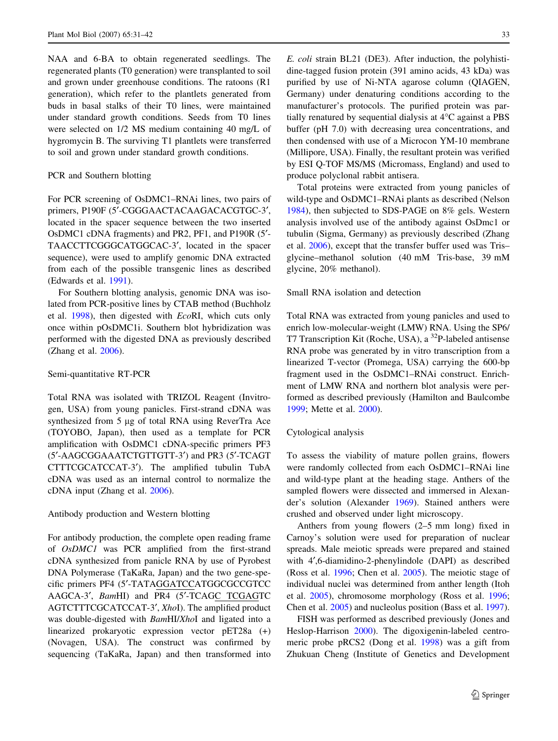NAA and 6-BA to obtain regenerated seedlings. The regenerated plants (T0 generation) were transplanted to soil and grown under greenhouse conditions. The ratoons (R1 generation), which refer to the plantlets generated from buds in basal stalks of their T0 lines, were maintained under standard growth conditions. Seeds from T0 lines were selected on 1/2 MS medium containing 40 mg/L of hygromycin B. The surviving T1 plantlets were transferred to soil and grown under standard growth conditions.

## PCR and Southern blotting

For PCR screening of OsDMC1–RNAi lines, two pairs of primers, P190F (5'-CGGGAACTACAAGACACGTGC-3', located in the spacer sequence between the two inserted OsDMC1 cDNA fragments) and PR2, PF1, and P190R (5¢- TAACCTTCGGGCATGGCAC-3', located in the spacer sequence), were used to amplify genomic DNA extracted from each of the possible transgenic lines as described (Edwards et al. [1991](#page-10-0)).

For Southern blotting analysis, genomic DNA was isolated from PCR-positive lines by CTAB method (Buchholz et al. [1998\)](#page-10-0), then digested with EcoRI, which cuts only once within pOsDMC1i. Southern blot hybridization was performed with the digested DNA as previously described (Zhang et al. [2006\)](#page-11-0).

### Semi-quantitative RT-PCR

Total RNA was isolated with TRIZOL Reagent (Invitrogen, USA) from young panicles. First-strand cDNA was synthesized from 5 µg of total RNA using ReverTra Ace (TOYOBO, Japan), then used as a template for PCR amplification with OsDMC1 cDNA-specific primers PF3 (5'-AAGCGGAAATCTGTTGTT-3') and PR3 (5'-TCAGT CTTTCGCATCCAT-3'). The amplified tubulin TubA cDNA was used as an internal control to normalize the cDNA input (Zhang et al. [2006](#page-11-0)).

## Antibody production and Western blotting

For antibody production, the complete open reading frame of OsDMC1 was PCR amplified from the first-strand cDNA synthesized from panicle RNA by use of Pyrobest DNA Polymerase (TaKaRa, Japan) and the two gene-specific primers PF4 (5'-TATAGGATCCATGGCGCCGTCC AAGCA-3', BamHI) and PR4 (5'-TCAGC TCGAGTC AGTCTTTCGCATCCAT-3', XhoI). The amplified product was double-digested with *BamHI/XhoI* and ligated into a linearized prokaryotic expression vector pET28a (+) (Novagen, USA). The construct was confirmed by sequencing (TaKaRa, Japan) and then transformed into E. coli strain BL21 (DE3). After induction, the polyhistidine-tagged fusion protein (391 amino acids, 43 kDa) was purified by use of Ni-NTA agarose column (QIAGEN, Germany) under denaturing conditions according to the manufacturer's protocols. The purified protein was partially renatured by sequential dialysis at  $4^{\circ}$ C against a PBS buffer (pH 7.0) with decreasing urea concentrations, and then condensed with use of a Microcon YM-10 membrane (Millipore, USA). Finally, the resultant protein was verified by ESI Q-TOF MS/MS (Micromass, England) and used to produce polyclonal rabbit antisera.

Total proteins were extracted from young panicles of wild-type and OsDMC1–RNAi plants as described (Nelson [1984](#page-10-0)), then subjected to SDS-PAGE on 8% gels. Western analysis involved use of the antibody against OsDmc1 or tubulin (Sigma, Germany) as previously described (Zhang et al. [2006\)](#page-11-0), except that the transfer buffer used was Tris– glycine–methanol solution (40 mM Tris-base, 39 mM glycine, 20% methanol).

#### Small RNA isolation and detection

Total RNA was extracted from young panicles and used to enrich low-molecular-weight (LMW) RNA. Using the SP6/ T7 Transcription Kit (Roche, USA), a <sup>32</sup>P-labeled antisense RNA probe was generated by in vitro transcription from a linearized T-vector (Promega, USA) carrying the 600-bp fragment used in the OsDMC1–RNAi construct. Enrichment of LMW RNA and northern blot analysis were performed as described previously (Hamilton and Baulcombe [1999](#page-10-0); Mette et al. [2000\)](#page-10-0).

#### Cytological analysis

To assess the viability of mature pollen grains, flowers were randomly collected from each OsDMC1–RNAi line and wild-type plant at the heading stage. Anthers of the sampled flowers were dissected and immersed in Alexander's solution (Alexander [1969\)](#page-10-0). Stained anthers were crushed and observed under light microscopy.

Anthers from young flowers (2–5 mm long) fixed in Carnoy's solution were used for preparation of nuclear spreads. Male meiotic spreads were prepared and stained with 4¢,6-diamidino-2-phenylindole (DAPI) as described (Ross et al. [1996;](#page-11-0) Chen et al. [2005](#page-10-0)). The meiotic stage of individual nuclei was determined from anther length (Itoh et al. [2005\)](#page-10-0), chromosome morphology (Ross et al. [1996](#page-11-0); Chen et al. [2005\)](#page-10-0) and nucleolus position (Bass et al. [1997](#page-10-0)).

FISH was performed as described previously (Jones and Heslop-Harrison [2000](#page-10-0)). The digoxigenin-labeled centromeric probe pRCS2 (Dong et al. [1998](#page-10-0)) was a gift from Zhukuan Cheng (Institute of Genetics and Development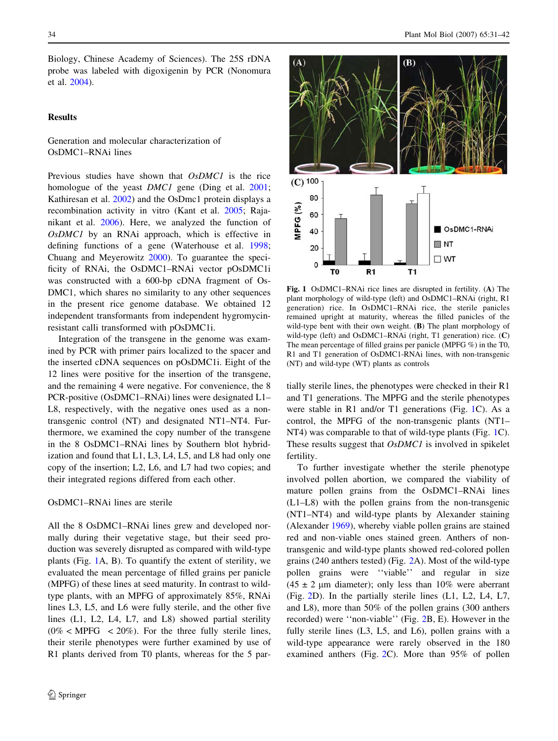Biology, Chinese Academy of Sciences). The 25S rDNA probe was labeled with digoxigenin by PCR (Nonomura et al. [2004\)](#page-10-0).

## Results

## Generation and molecular characterization of OsDMC1–RNAi lines

Previous studies have shown that OsDMC1 is the rice homologue of the yeast *DMC1* gene (Ding et al. [2001](#page-10-0); Kathiresan et al. [2002\)](#page-10-0) and the OsDmc1 protein displays a recombination activity in vitro (Kant et al. [2005](#page-10-0); Rajanikant et al. [2006](#page-11-0)). Here, we analyzed the function of OsDMC1 by an RNAi approach, which is effective in defining functions of a gene (Waterhouse et al. [1998](#page-11-0); Chuang and Meyerowitz [2000\)](#page-10-0). To guarantee the specificity of RNAi, the OsDMC1–RNAi vector pOsDMC1i was constructed with a 600-bp cDNA fragment of Os-DMC1, which shares no similarity to any other sequences in the present rice genome database. We obtained 12 independent transformants from independent hygromycinresistant calli transformed with pOsDMC1i.

Integration of the transgene in the genome was examined by PCR with primer pairs localized to the spacer and the inserted cDNA sequences on pOsDMC1i. Eight of the 12 lines were positive for the insertion of the transgene, and the remaining 4 were negative. For convenience, the 8 PCR-positive (OsDMC1–RNAi) lines were designated L1– L8, respectively, with the negative ones used as a nontransgenic control (NT) and designated NT1–NT4. Furthermore, we examined the copy number of the transgene in the 8 OsDMC1–RNAi lines by Southern blot hybridization and found that L1, L3, L4, L5, and L8 had only one copy of the insertion; L2, L6, and L7 had two copies; and their integrated regions differed from each other.

## OsDMC1–RNAi lines are sterile

All the 8 OsDMC1–RNAi lines grew and developed normally during their vegetative stage, but their seed production was severely disrupted as compared with wild-type plants (Fig. 1A, B). To quantify the extent of sterility, we evaluated the mean percentage of filled grains per panicle (MPFG) of these lines at seed maturity. In contrast to wildtype plants, with an MPFG of approximately 85%, RNAi lines L3, L5, and L6 were fully sterile, and the other five lines (L1, L2, L4, L7, and L8) showed partial sterility  $(0\%$  < MPFG < 20%). For the three fully sterile lines, their sterile phenotypes were further examined by use of R1 plants derived from T0 plants, whereas for the 5 par-



Fig. 1 OsDMC1–RNAi rice lines are disrupted in fertility. (A) The plant morphology of wild-type (left) and OsDMC1–RNAi (right, R1 generation) rice. In OsDMC1–RNAi rice, the sterile panicles remained upright at maturity, whereas the filled panicles of the wild-type bent with their own weight. (B) The plant morphology of wild-type (left) and OsDMC1–RNAi (right, T1 generation) rice. (C) The mean percentage of filled grains per panicle (MPFG %) in the T0, R1 and T1 generation of OsDMC1-RNAi lines, with non-transgenic (NT) and wild-type (WT) plants as controls

tially sterile lines, the phenotypes were checked in their R1 and T1 generations. The MPFG and the sterile phenotypes were stable in R1 and/or T1 generations (Fig. 1C). As a control, the MPFG of the non-transgenic plants (NT1– NT4) was comparable to that of wild-type plants (Fig. 1C). These results suggest that *OsDMC1* is involved in spikelet fertility.

To further investigate whether the sterile phenotype involved pollen abortion, we compared the viability of mature pollen grains from the OsDMC1–RNAi lines (L1–L8) with the pollen grains from the non-transgenic (NT1–NT4) and wild-type plants by Alexander staining (Alexander [1969\)](#page-10-0), whereby viable pollen grains are stained red and non-viable ones stained green. Anthers of nontransgenic and wild-type plants showed red-colored pollen grains (240 anthers tested) (Fig. [2A](#page-4-0)). Most of the wild-type pollen grains were ''viable'' and regular in size  $(45 \pm 2 \mu m)$  diameter); only less than 10% were aberrant (Fig. [2D](#page-4-0)). In the partially sterile lines (L1, L2, L4, L7, and L8), more than 50% of the pollen grains (300 anthers recorded) were ''non-viable'' (Fig. [2B](#page-4-0), E). However in the fully sterile lines (L3, L5, and L6), pollen grains with a wild-type appearance were rarely observed in the 180 examined anthers (Fig. [2C](#page-4-0)). More than 95% of pollen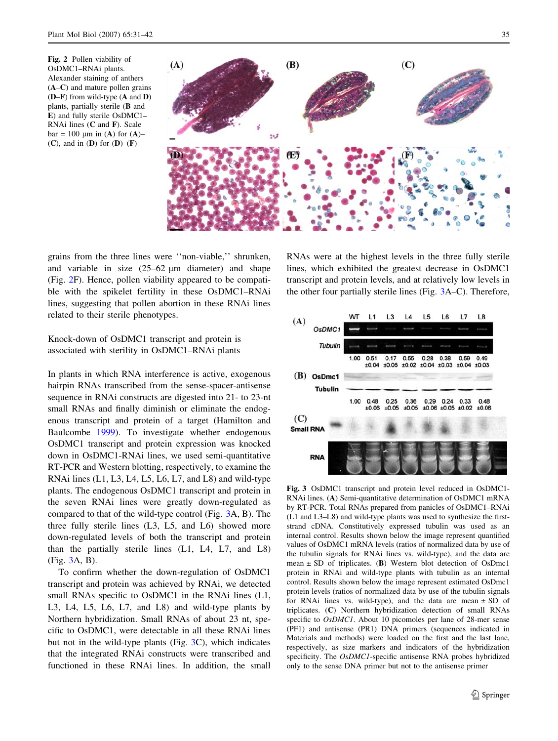<span id="page-4-0"></span>



grains from the three lines were ''non-viable,'' shrunken, and variable in size  $(25-62 \mu m)$  diameter) and shape (Fig. 2F). Hence, pollen viability appeared to be compatible with the spikelet fertility in these OsDMC1–RNAi lines, suggesting that pollen abortion in these RNAi lines related to their sterile phenotypes.

# Knock-down of OsDMC1 transcript and protein is associated with sterility in OsDMC1–RNAi plants

In plants in which RNA interference is active, exogenous hairpin RNAs transcribed from the sense-spacer-antisense sequence in RNAi constructs are digested into 21- to 23-nt small RNAs and finally diminish or eliminate the endogenous transcript and protein of a target (Hamilton and Baulcombe [1999](#page-10-0)). To investigate whether endogenous OsDMC1 transcript and protein expression was knocked down in OsDMC1-RNAi lines, we used semi-quantitative RT-PCR and Western blotting, respectively, to examine the RNAi lines (L1, L3, L4, L5, L6, L7, and L8) and wild-type plants. The endogenous OsDMC1 transcript and protein in the seven RNAi lines were greatly down-regulated as compared to that of the wild-type control (Fig. 3A, B). The three fully sterile lines (L3, L5, and L6) showed more down-regulated levels of both the transcript and protein than the partially sterile lines (L1, L4, L7, and L8) (Fig. 3A, B).

To confirm whether the down-regulation of OsDMC1 transcript and protein was achieved by RNAi, we detected small RNAs specific to OsDMC1 in the RNAi lines (L1, L3, L4, L5, L6, L7, and L8) and wild-type plants by Northern hybridization. Small RNAs of about 23 nt, specific to OsDMC1, were detectable in all these RNAi lines but not in the wild-type plants (Fig. 3C), which indicates that the integrated RNAi constructs were transcribed and functioned in these RNAi lines. In addition, the small RNAs were at the highest levels in the three fully sterile lines, which exhibited the greatest decrease in OsDMC1 transcript and protein levels, and at relatively low levels in the other four partially sterile lines (Fig. 3A–C). Therefore,



Fig. 3 OsDMC1 transcript and protein level reduced in OsDMC1- RNAi lines. (A) Semi-quantitative determination of OsDMC1 mRNA by RT-PCR. Total RNAs prepared from panicles of OsDMC1–RNAi (L1 and L3–L8) and wild-type plants was used to synthesize the firststrand cDNA. Constitutively expressed tubulin was used as an internal control. Results shown below the image represent quantified values of OsDMC1 mRNA levels (ratios of normalized data by use of the tubulin signals for RNAi lines vs. wild-type), and the data are mean  $\pm$  SD of triplicates. (B) Western blot detection of OsDmc1 protein in RNAi and wild-type plants with tubulin as an internal control. Results shown below the image represent estimated OsDmc1 protein levels (ratios of normalized data by use of the tubulin signals for RNAi lines vs. wild-type), and the data are mean ± SD of triplicates. (C) Northern hybridization detection of small RNAs specific to *OsDMC1*. About 10 picomoles per lane of 28-mer sense (PF1) and antisense (PR1) DNA primers (sequences indicated in Materials and methods) were loaded on the first and the last lane, respectively, as size markers and indicators of the hybridization specificity. The *OsDMC1*-specific antisense RNA probes hybridized only to the sense DNA primer but not to the antisense primer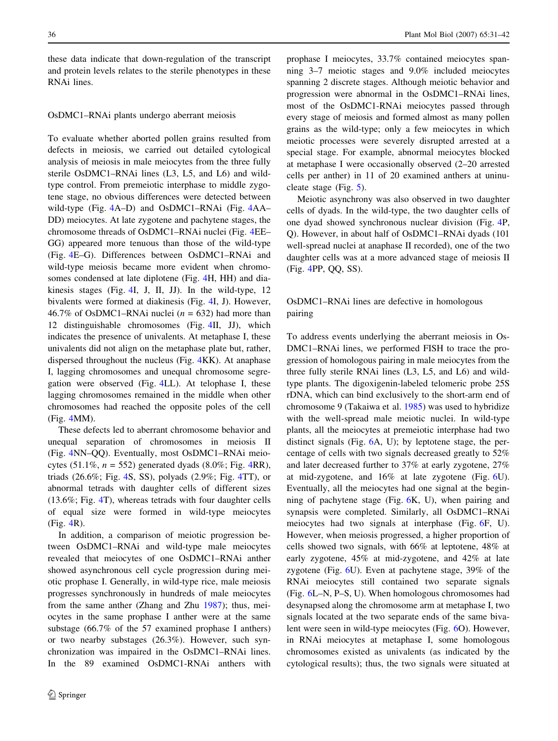these data indicate that down-regulation of the transcript and protein levels relates to the sterile phenotypes in these RNAi lines.

#### OsDMC1–RNAi plants undergo aberrant meiosis

To evaluate whether aborted pollen grains resulted from defects in meiosis, we carried out detailed cytological analysis of meiosis in male meiocytes from the three fully sterile OsDMC1–RNAi lines (L3, L5, and L6) and wildtype control. From premeiotic interphase to middle zygotene stage, no obvious differences were detected between wild-type (Fig. [4](#page-6-0)A–D) and OsDMC1–RNAi (Fig. [4A](#page-6-0)A– DD) meiocytes. At late zygotene and pachytene stages, the chromosome threads of OsDMC1–RNAi nuclei (Fig. [4E](#page-6-0)E– GG) appeared more tenuous than those of the wild-type (Fig. [4](#page-6-0)E–G). Differences between OsDMC1–RNAi and wild-type meiosis became more evident when chromosomes condensed at late diplotene (Fig. [4H](#page-6-0), HH) and diakinesis stages (Fig. [4](#page-6-0)I, J, II, JJ). In the wild-type, 12 bivalents were formed at diakinesis (Fig. [4I](#page-6-0), J). However, 46.7% of OsDMC1–RNAi nuclei ( $n = 632$ ) had more than 12 distinguishable chromosomes (Fig. [4](#page-6-0)II, JJ), which indicates the presence of univalents. At metaphase I, these univalents did not align on the metaphase plate but, rather, dispersed throughout the nucleus (Fig. [4K](#page-6-0)K). At anaphase I, lagging chromosomes and unequal chromosome segregation were observed (Fig. [4](#page-6-0)LL). At telophase I, these lagging chromosomes remained in the middle when other chromosomes had reached the opposite poles of the cell (Fig. [4](#page-6-0)MM).

These defects led to aberrant chromosome behavior and unequal separation of chromosomes in meiosis II (Fig. [4](#page-6-0)NN–QQ). Eventually, most OsDMC1–RNAi meiocytes (51.1%,  $n = 552$ ) generated dyads (8.0%; Fig. [4](#page-6-0)RR), triads (26.6%; Fig. [4S](#page-6-0), SS), polyads (2.9%; Fig. [4T](#page-6-0)T), or abnormal tetrads with daughter cells of different sizes (13.6%; Fig. [4](#page-6-0)T), whereas tetrads with four daughter cells of equal size were formed in wild-type meiocytes (Fig. [4](#page-6-0)R).

In addition, a comparison of meiotic progression between OsDMC1–RNAi and wild-type male meiocytes revealed that meiocytes of one OsDMC1–RNAi anther showed asynchronous cell cycle progression during meiotic prophase I. Generally, in wild-type rice, male meiosis progresses synchronously in hundreds of male meiocytes from the same anther (Zhang and Zhu [1987](#page-11-0)); thus, meiocytes in the same prophase I anther were at the same substage (66.7% of the 57 examined prophase I anthers) or two nearby substages (26.3%). However, such synchronization was impaired in the OsDMC1–RNAi lines. In the 89 examined OsDMC1-RNAi anthers with prophase I meiocytes, 33.7% contained meiocytes spanning 3–7 meiotic stages and 9.0% included meiocytes spanning 2 discrete stages. Although meiotic behavior and progression were abnormal in the OsDMC1–RNAi lines, most of the OsDMC1-RNAi meiocytes passed through every stage of meiosis and formed almost as many pollen grains as the wild-type; only a few meiocytes in which meiotic processes were severely disrupted arrested at a special stage. For example, abnormal meiocytes blocked at metaphase I were occasionally observed (2–20 arrested cells per anther) in 11 of 20 examined anthers at uninucleate stage (Fig. [5\)](#page-7-0).

Meiotic asynchrony was also observed in two daughter cells of dyads. In the wild-type, the two daughter cells of one dyad showed synchronous nuclear division (Fig. [4](#page-6-0)P, Q). However, in about half of OsDMC1–RNAi dyads (101 well-spread nuclei at anaphase II recorded), one of the two daughter cells was at a more advanced stage of meiosis II (Fig. [4P](#page-6-0)P, QQ, SS).

# OsDMC1–RNAi lines are defective in homologous pairing

To address events underlying the aberrant meiosis in Os-DMC1–RNAi lines, we performed FISH to trace the progression of homologous pairing in male meiocytes from the three fully sterile RNAi lines (L3, L5, and L6) and wildtype plants. The digoxigenin-labeled telomeric probe 25S rDNA, which can bind exclusively to the short-arm end of chromosome 9 (Takaiwa et al. [1985](#page-11-0)) was used to hybridize with the well-spread male meiotic nuclei. In wild-type plants, all the meiocytes at premeiotic interphase had two distinct signals (Fig. [6A](#page-7-0), U); by leptotene stage, the percentage of cells with two signals decreased greatly to 52% and later decreased further to 37% at early zygotene, 27% at mid-zygotene, and 16% at late zygotene (Fig. [6](#page-7-0)U). Eventually, all the meiocytes had one signal at the beginning of pachytene stage (Fig. [6](#page-7-0)K, U), when pairing and synapsis were completed. Similarly, all OsDMC1–RNAi meiocytes had two signals at interphase (Fig. [6](#page-7-0)F, U). However, when meiosis progressed, a higher proportion of cells showed two signals, with 66% at leptotene, 48% at early zygotene, 45% at mid-zygotene, and 42% at late zygotene (Fig. [6U](#page-7-0)). Even at pachytene stage, 39% of the RNAi meiocytes still contained two separate signals (Fig. [6L](#page-7-0)–N, P–S, U). When homologous chromosomes had desynapsed along the chromosome arm at metaphase I, two signals located at the two separate ends of the same bivalent were seen in wild-type meiocytes (Fig. [6](#page-7-0)O). However, in RNAi meiocytes at metaphase I, some homologous chromosomes existed as univalents (as indicated by the cytological results); thus, the two signals were situated at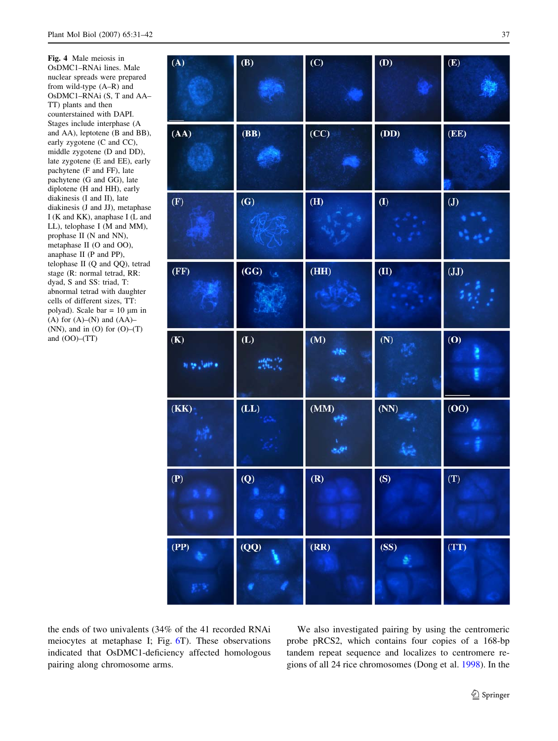<span id="page-6-0"></span>Fig. 4 Male meiosis in OsDMC1–RNAi lines. Male nuclear spreads were prepared from wild-type (A–R) and OsDMC1–RNAi (S, T and AA– TT) plants and then counterstained with DAPI. Stages include interphase (A and AA), leptotene (B and BB), early zygotene (C and CC), middle zygotene (D and DD), late zygotene (E and EE), early pachytene (F and FF), late pachytene (G and GG), late diplotene (H and HH), early diakinesis (I and II), late diakinesis (J and JJ), metaphase I (K and KK), anaphase I (L and LL), telophase I (M and MM), prophase II (N and NN), metaphase II (O and OO), anaphase II (P and PP), telophase II (Q and QQ), tetrad stage (R: normal tetrad, RR: dyad, S and SS: triad, T: abnormal tetrad with daughter cells of different sizes, TT: polyad). Scale bar =  $10 \mu m$  in (A) for  $(A)$ – $(N)$  and  $(AA)$ – (NN), and in  $(O)$  for  $(O)$ – $(T)$ and (OO)–(TT)

| (A)                       | $\bf{(B)}$      | (C)                       | (D)        | (E)                          |
|---------------------------|-----------------|---------------------------|------------|------------------------------|
| (AA)                      | (BB)            | (CC)                      | (DD)       | (EE)                         |
| $(\mathbf{F})$            | (G)             | $\overline{(\mathbf{H})}$ | $\bf (I)$  | $\pmb{\text{(J)}}$<br>ti agu |
| (FF)                      | (GG)<br>×       | (HH)                      | (II)       | (JJ)                         |
| $\bf (K)$<br>$4.25$ and a | (L)             | (M)<br>嗽<br>وبالحاد       | (N)        | (0)                          |
| (KK)                      | $(\mathbf{LL})$ | (MM)<br>$-8404$           | (NN)<br>4e | (00)                         |
| $(\mathbf{P})$            | $\overline{Q}$  | (R)                       | (S)        | (T)                          |
| (PP)                      | (QQ)            | (RR)                      | (SS)       | (TT)                         |

the ends of two univalents (34% of the 41 recorded RNAi meiocytes at metaphase I; Fig. [6](#page-7-0)T). These observations indicated that OsDMC1-deficiency affected homologous pairing along chromosome arms.

We also investigated pairing by using the centromeric probe pRCS2, which contains four copies of a 168-bp tandem repeat sequence and localizes to centromere regions of all 24 rice chromosomes (Dong et al. [1998\)](#page-10-0). In the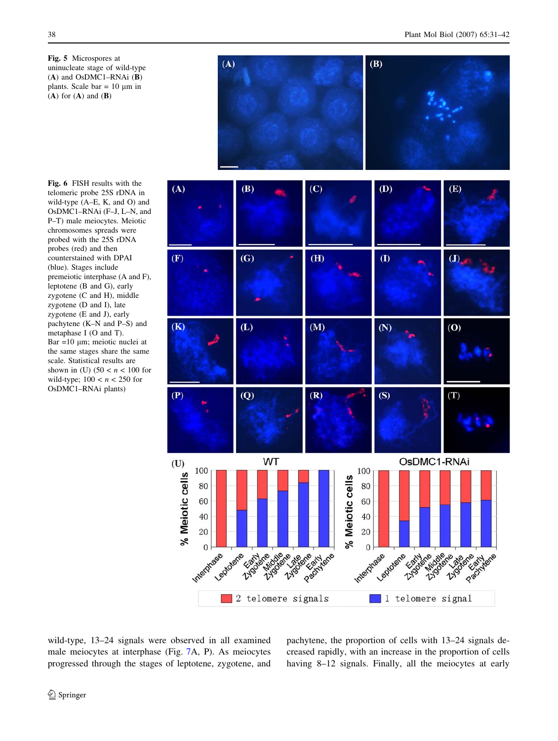<span id="page-7-0"></span>Fig. 5 Microspores at uninucleate stage of wild-type (A) and OsDMC1–RNAi (B) plants. Scale bar =  $10 \mu m$  in  $(A)$  for  $(A)$  and  $(B)$ 



Fig. 6 FISH results with the telomeric probe 25S rDNA in wild-type (A–E, K, and O) and OsDMC1–RNAi (F–J, L–N, and P–T) male meiocytes. Meiotic chromosomes spreads were probed with the 25S rDNA probes (red) and then counterstained with DPAI (blue). Stages include premeiotic interphase (A and F), leptotene (B and G), early zygotene (C and H), middle zygotene (D and I), late zygotene (E and J), early pachytene (K–N and P–S) and metaphase I (O and T). Bar =10  $\mu$ m; meiotic nuclei at the same stages share the same scale. Statistical results are shown in (U)  $(50 < n < 100$  for wild-type;  $100 < n < 250$  for OsDMC1–RNAi plants)



wild-type, 13–24 signals were observed in all examined male meiocytes at interphase (Fig. [7A](#page-8-0), P). As meiocytes progressed through the stages of leptotene, zygotene, and pachytene, the proportion of cells with 13–24 signals decreased rapidly, with an increase in the proportion of cells having 8–12 signals. Finally, all the meiocytes at early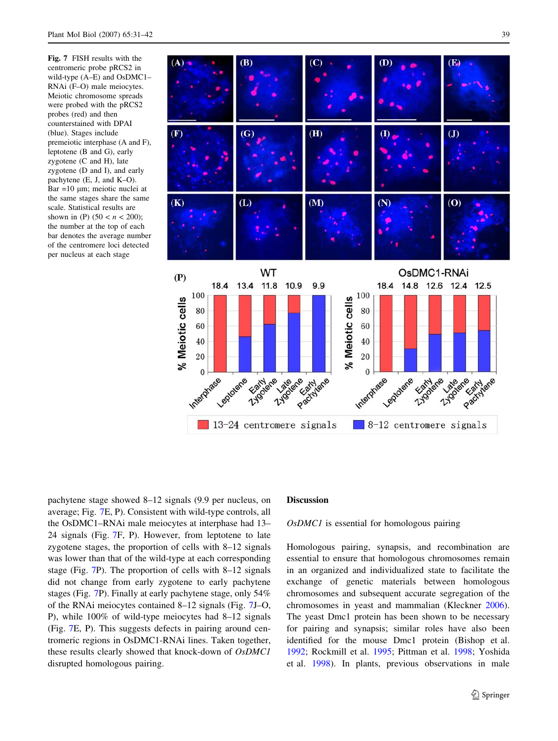<span id="page-8-0"></span>Fig. 7 FISH results with the centromeric probe pRCS2 in wild-type (A–E) and OsDMC1– RNAi (F–O) male meiocytes. Meiotic chromosome spreads were probed with the pRCS2 probes (red) and then counterstained with DPAI (blue). Stages include premeiotic interphase (A and F), leptotene (B and G), early zygotene (C and H), late zygotene (D and I), and early pachytene (E, J, and K–O).  $Bar = 10 \mu m$ ; meiotic nuclei at the same stages share the same scale. Statistical results are shown in (P)  $(50 < n < 200)$ ; the number at the top of each bar denotes the average number of the centromere loci detected per nucleus at each stage



pachytene stage showed 8–12 signals (9.9 per nucleus, on average; Fig. 7E, P). Consistent with wild-type controls, all the OsDMC1–RNAi male meiocytes at interphase had 13– 24 signals (Fig. 7F, P). However, from leptotene to late zygotene stages, the proportion of cells with 8–12 signals was lower than that of the wild-type at each corresponding stage (Fig. 7P). The proportion of cells with 8–12 signals did not change from early zygotene to early pachytene stages (Fig. 7P). Finally at early pachytene stage, only 54% of the RNAi meiocytes contained 8–12 signals (Fig. 7J–O, P), while 100% of wild-type meiocytes had 8–12 signals (Fig. 7E, P). This suggests defects in pairing around centromeric regions in OsDMC1-RNAi lines. Taken together, these results clearly showed that knock-down of OsDMC1 disrupted homologous pairing.

# Discussion

#### OsDMC1 is essential for homologous pairing

Homologous pairing, synapsis, and recombination are essential to ensure that homologous chromosomes remain in an organized and individualized state to facilitate the exchange of genetic materials between homologous chromosomes and subsequent accurate segregation of the chromosomes in yeast and mammalian (Kleckner [2006](#page-10-0)). The yeast Dmc1 protein has been shown to be necessary for pairing and synapsis; similar roles have also been identified for the mouse Dmc1 protein (Bishop et al. [1992](#page-10-0); Rockmill et al. [1995](#page-11-0); Pittman et al. [1998](#page-11-0); Yoshida et al. [1998\)](#page-11-0). In plants, previous observations in male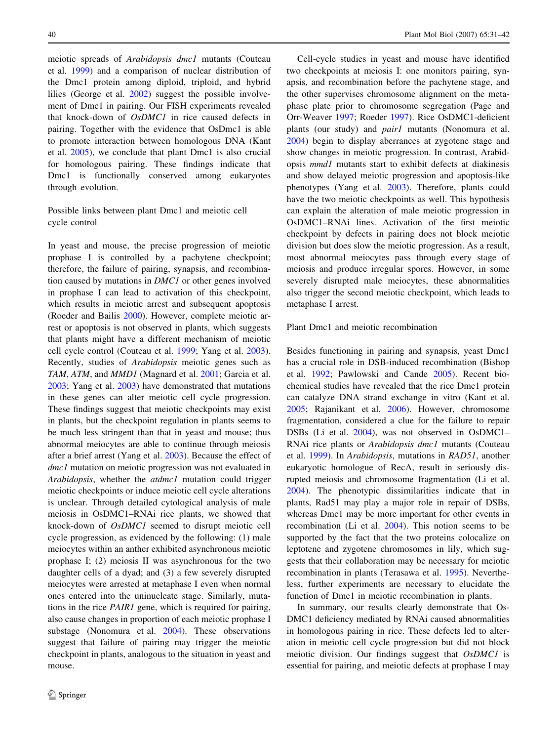meiotic spreads of Arabidopsis dmc1 mutants (Couteau et al. [1999\)](#page-10-0) and a comparison of nuclear distribution of the Dmc1 protein among diploid, triploid, and hybrid lilies (George et al. [2002](#page-10-0)) suggest the possible involvement of Dmc1 in pairing. Our FISH experiments revealed that knock-down of OsDMC1 in rice caused defects in pairing. Together with the evidence that OsDmc1 is able to promote interaction between homologous DNA (Kant et al. [2005](#page-10-0)), we conclude that plant Dmc1 is also crucial for homologous pairing. These findings indicate that Dmc1 is functionally conserved among eukaryotes through evolution.

# Possible links between plant Dmc1 and meiotic cell cycle control

In yeast and mouse, the precise progression of meiotic prophase I is controlled by a pachytene checkpoint; therefore, the failure of pairing, synapsis, and recombination caused by mutations in DMC1 or other genes involved in prophase I can lead to activation of this checkpoint, which results in meiotic arrest and subsequent apoptosis (Roeder and Bailis [2000\)](#page-11-0). However, complete meiotic arrest or apoptosis is not observed in plants, which suggests that plants might have a different mechanism of meiotic cell cycle control (Couteau et al. [1999;](#page-10-0) Yang et al. [2003](#page-11-0)). Recently, studies of Arabidopsis meiotic genes such as TAM, ATM, and MMD1 (Magnard et al. [2001](#page-10-0); Garcia et al. [2003;](#page-10-0) Yang et al. [2003](#page-11-0)) have demonstrated that mutations in these genes can alter meiotic cell cycle progression. These findings suggest that meiotic checkpoints may exist in plants, but the checkpoint regulation in plants seems to be much less stringent than that in yeast and mouse; thus abnormal meiocytes are able to continue through meiosis after a brief arrest (Yang et al. [2003](#page-11-0)). Because the effect of dmc1 mutation on meiotic progression was not evaluated in Arabidopsis, whether the atdmc1 mutation could trigger meiotic checkpoints or induce meiotic cell cycle alterations is unclear. Through detailed cytological analysis of male meiosis in OsDMC1–RNAi rice plants, we showed that knock-down of OsDMC1 seemed to disrupt meiotic cell cycle progression, as evidenced by the following: (1) male meiocytes within an anther exhibited asynchronous meiotic prophase I; (2) meiosis II was asynchronous for the two daughter cells of a dyad; and (3) a few severely disrupted meiocytes were arrested at metaphase I even when normal ones entered into the uninucleate stage. Similarly, mutations in the rice PAIR1 gene, which is required for pairing, also cause changes in proportion of each meiotic prophase I substage (Nonomura et al. [2004](#page-10-0)). These observations suggest that failure of pairing may trigger the meiotic checkpoint in plants, analogous to the situation in yeast and mouse.

Cell-cycle studies in yeast and mouse have identified two checkpoints at meiosis I: one monitors pairing, synapsis, and recombination before the pachytene stage, and the other supervises chromosome alignment on the metaphase plate prior to chromosome segregation (Page and Orr-Weaver [1997;](#page-11-0) Roeder [1997\)](#page-11-0). Rice OsDMC1-deficient plants (our study) and *pair1* mutants (Nonomura et al. [2004](#page-10-0)) begin to display aberrances at zygotene stage and show changes in meiotic progression. In contrast, Arabidopsis mmd1 mutants start to exhibit defects at diakinesis and show delayed meiotic progression and apoptosis-like phenotypes (Yang et al. [2003\)](#page-11-0). Therefore, plants could have the two meiotic checkpoints as well. This hypothesis can explain the alteration of male meiotic progression in OsDMC1–RNAi lines. Activation of the first meiotic checkpoint by defects in pairing does not block meiotic division but does slow the meiotic progression. As a result, most abnormal meiocytes pass through every stage of meiosis and produce irregular spores. However, in some severely disrupted male meiocytes, these abnormalities also trigger the second meiotic checkpoint, which leads to metaphase I arrest.

Plant Dmc1 and meiotic recombination

Besides functioning in pairing and synapsis, yeast Dmc1 has a crucial role in DSB-induced recombination (Bishop et al. [1992](#page-10-0); Pawlowski and Cande [2005\)](#page-11-0). Recent biochemical studies have revealed that the rice Dmc1 protein can catalyze DNA strand exchange in vitro (Kant et al. [2005](#page-10-0); Rajanikant et al. [2006\)](#page-11-0). However, chromosome fragmentation, considered a clue for the failure to repair DSBs (Li et al. [2004](#page-10-0)), was not observed in OsDMC1– RNAi rice plants or Arabidopsis dmc1 mutants (Couteau et al. [1999\)](#page-10-0). In Arabidopsis, mutations in RAD51, another eukaryotic homologue of RecA, result in seriously disrupted meiosis and chromosome fragmentation (Li et al. [2004](#page-10-0)). The phenotypic dissimilarities indicate that in plants, Rad51 may play a major role in repair of DSBs, whereas Dmc1 may be more important for other events in recombination (Li et al. [2004](#page-10-0)). This notion seems to be supported by the fact that the two proteins colocalize on leptotene and zygotene chromosomes in lily, which suggests that their collaboration may be necessary for meiotic recombination in plants (Terasawa et al. [1995\)](#page-11-0). Nevertheless, further experiments are necessary to elucidate the function of Dmc1 in meiotic recombination in plants.

In summary, our results clearly demonstrate that Os-DMC1 deficiency mediated by RNAi caused abnormalities in homologous pairing in rice. These defects led to alteration in meiotic cell cycle progression but did not block meiotic division. Our findings suggest that OsDMC1 is essential for pairing, and meiotic defects at prophase I may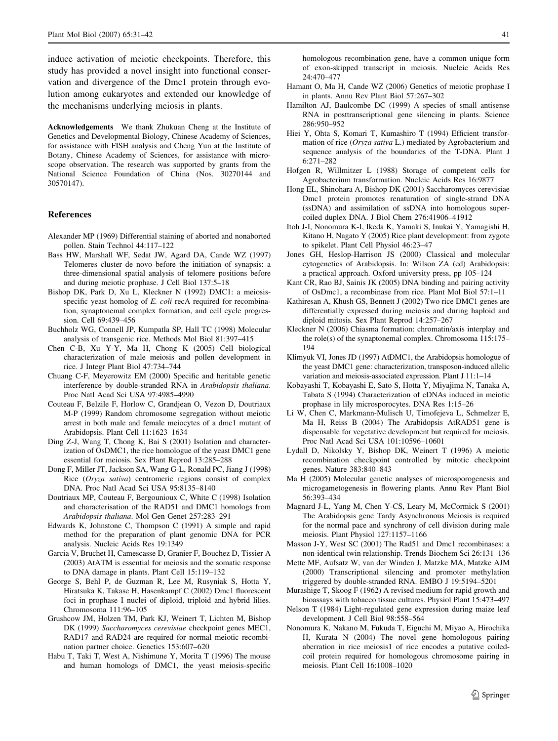<span id="page-10-0"></span>induce activation of meiotic checkpoints. Therefore, this study has provided a novel insight into functional conservation and divergence of the Dmc1 protein through evolution among eukaryotes and extended our knowledge of the mechanisms underlying meiosis in plants.

Acknowledgements We thank Zhukuan Cheng at the Institute of Genetics and Developmental Biology, Chinese Academy of Sciences, for assistance with FISH analysis and Cheng Yun at the Institute of Botany, Chinese Academy of Sciences, for assistance with microscope observation. The research was supported by grants from the National Science Foundation of China (Nos. 30270144 and 30570147).

### References

- Alexander MP (1969) Differential staining of aborted and nonaborted pollen. Stain Technol 44:117–122
- Bass HW, Marshall WF, Sedat JW, Agard DA, Cande WZ (1997) Telomeres cluster de novo before the initiation of synapsis: a three-dimensional spatial analysis of telomere positions before and during meiotic prophase. J Cell Biol 137:5–18
- Bishop DK, Park D, Xu L, Kleckner N (1992) DMC1: a meiosisspecific yeast homolog of E. coli recA required for recombination, synaptonemal complex formation, and cell cycle progression. Cell 69:439–456
- Buchholz WG, Connell JP, Kumpatla SP, Hall TC (1998) Molecular analysis of transgenic rice. Methods Mol Biol 81:397–415
- Chen C-B, Xu Y-Y, Ma H, Chong K (2005) Cell biological characterization of male meiosis and pollen development in rice. J Integr Plant Biol 47:734–744
- Chuang C-F, Meyerowitz EM (2000) Specific and heritable genetic interference by double-stranded RNA in Arabidopsis thaliana. Proc Natl Acad Sci USA 97:4985–4990
- Couteau F, Belzile F, Horlow C, Grandjean O, Vezon D, Doutriaux M-P (1999) Random chromosome segregation without meiotic arrest in both male and female meiocytes of a dmc1 mutant of Arabidopsis. Plant Cell 11:1623–1634
- Ding Z-J, Wang T, Chong K, Bai S (2001) Isolation and characterization of OsDMC1, the rice homologue of the yeast DMC1 gene essential for meiosis. Sex Plant Reprod 13:285–288
- Dong F, Miller JT, Jackson SA, Wang G-L, Ronald PC, Jiang J (1998) Rice (Oryza sativa) centromeric regions consist of complex DNA. Proc Natl Acad Sci USA 95:8135–8140
- Doutriaux MP, Couteau F, Bergounioux C, White C (1998) Isolation and characterisation of the RAD51 and DMC1 homologs from Arabidopsis thaliana. Mol Gen Genet 257:283–291
- Edwards K, Johnstone C, Thompson C (1991) A simple and rapid method for the preparation of plant genomic DNA for PCR analysis. Nucleic Acids Res 19:1349
- Garcia V, Bruchet H, Camescasse D, Granier F, Bouchez D, Tissier A (2003) AtATM is essential for meiosis and the somatic response to DNA damage in plants. Plant Cell 15:119–132
- George S, Behl P, de Guzman R, Lee M, Rusyniak S, Hotta Y, Hiratsuka K, Takase H, Hasenkampf C (2002) Dmc1 fluorescent foci in prophase I nuclei of diploid, triploid and hybrid lilies. Chromosoma 111:96–105
- Grushcow JM, Holzen TM, Park KJ, Weinert T, Lichten M, Bishop DK (1999) Saccharomyces cerevisiae checkpoint genes MEC1, RAD17 and RAD24 are required for normal meiotic recombination partner choice. Genetics 153:607–620
- Habu T, Taki T, West A, Nishimune Y, Morita T (1996) The mouse and human homologs of DMC1, the yeast meiosis-specific

homologous recombination gene, have a common unique form of exon-skipped transcript in meiosis. Nucleic Acids Res 24:470–477

- Hamant O, Ma H, Cande WZ (2006) Genetics of meiotic prophase I in plants. Annu Rev Plant Biol 57:267–302
- Hamilton AJ, Baulcombe DC (1999) A species of small antisense RNA in posttranscriptional gene silencing in plants. Science 286:950–952
- Hiei Y, Ohta S, Komari T, Kumashiro T (1994) Efficient transformation of rice (Oryza sativa L.) mediated by Agrobacterium and sequence analysis of the boundaries of the T-DNA. Plant J 6:271–282
- Hofgen R, Willmitzer L (1988) Storage of competent cells for Agrobacterium transformation. Nucleic Acids Res 16:9877
- Hong EL, Shinohara A, Bishop DK (2001) Saccharomyces cerevisiae Dmc1 protein promotes renaturation of single-strand DNA (ssDNA) and assimilation of ssDNA into homologous supercoiled duplex DNA. J Biol Chem 276:41906–41912
- Itoh J-I, Nonomura K-I, Ikeda K, Yamaki S, Inukai Y, Yamagishi H, Kitano H, Nagato Y (2005) Rice plant development: from zygote to spikelet. Plant Cell Physiol 46:23–47
- Jones GH, Heslop-Harrison JS (2000) Classical and molecular cytogenetics of Arabidopsis. In: Wilson ZA (ed) Arabidopsis: a practical approach. Oxford university press, pp 105–124
- Kant CR, Rao BJ, Sainis JK (2005) DNA binding and pairing activity of OsDmc1, a recombinase from rice. Plant Mol Biol 57:1–11
- Kathiresan A, Khush GS, Bennett J (2002) Two rice DMC1 genes are differentially expressed during meiosis and during haploid and diploid mitosis. Sex Plant Reprod 14:257–267
- Kleckner N (2006) Chiasma formation: chromatin/axis interplay and the role(s) of the synaptonemal complex. Chromosoma 115:175– 194
- Klimyuk VI, Jones JD (1997) AtDMC1, the Arabidopsis homologue of the yeast DMC1 gene: characterization, transposon-induced allelic variation and meiosis-associated expression. Plant J 11:1–14
- Kobayashi T, Kobayashi E, Sato S, Hotta Y, Miyajima N, Tanaka A, Tabata S (1994) Characterization of cDNAs induced in meiotic prophase in lily microsporocytes. DNA Res 1:15–26
- Li W, Chen C, Markmann-Mulisch U, Timofejeva L, Schmelzer E, Ma H, Reiss B (2004) The Arabidopsis AtRAD51 gene is dispensable for vegetative development but required for meiosis. Proc Natl Acad Sci USA 101:10596–10601
- Lydall D, Nikolsky Y, Bishop DK, Weinert T (1996) A meiotic recombination checkpoint controlled by mitotic checkpoint genes. Nature 383:840–843
- Ma H (2005) Molecular genetic analyses of microsporogenesis and microgametogenesis in flowering plants. Annu Rev Plant Biol 56:393–434
- Magnard J-L, Yang M, Chen Y-CS, Leary M, McCormick S (2001) The Arabidopsis gene Tardy Asynchronous Meiosis is required for the normal pace and synchrony of cell division during male meiosis. Plant Physiol 127:1157–1166
- Masson J-Y, West SC (2001) The Rad51 and Dmc1 recombinases: a non-identical twin relationship. Trends Biochem Sci 26:131–136
- Mette MF, Aufsatz W, van der Winden J, Matzke MA, Matzke AJM (2000) Transcriptional silencing and promoter methylation triggered by double-stranded RNA. EMBO J 19:5194–5201
- Murashige T, Skoog F (1962) A revised medium for rapid growth and bioassays with tobacco tissue cultures. Physiol Plant 15:473–497
- Nelson T (1984) Light-regulated gene expression during maize leaf development. J Cell Biol 98:558–564
- Nonomura K, Nakano M, Fukuda T, Eiguchi M, Miyao A, Hirochika H, Kurata N (2004) The novel gene homologous pairing aberration in rice meiosis1 of rice encodes a putative coiledcoil protein required for homologous chromosome pairing in meiosis. Plant Cell 16:1008–1020